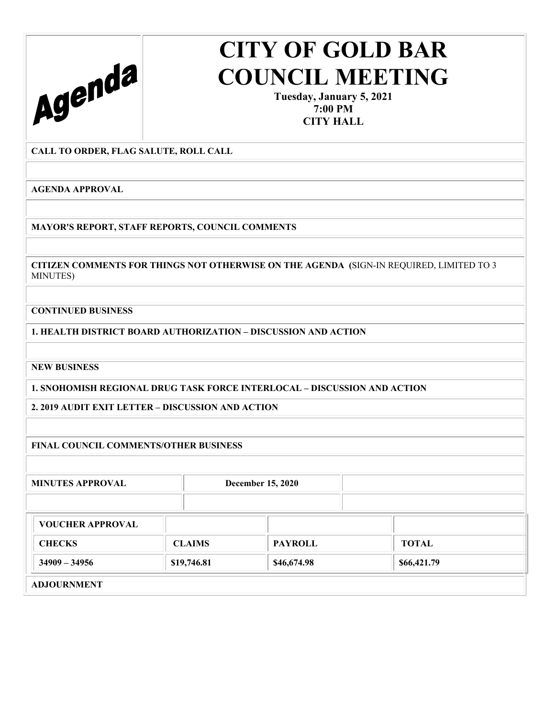

**Tuesday, January 5, 2021 7:00 PM CITY HALL** 

**CALL TO ORDER, FLAG SALUTE, ROLL CALL** 

**AGENDA APPROVAL** 

**MAYOR'S REPORT, STAFF REPORTS, COUNCIL COMMENTS** 

**CITIZEN COMMENTS FOR THINGS NOT OTHERWISE ON THE AGENDA (**SIGN-IN REQUIRED, LIMITED TO 3 MINUTES)

**CONTINUED BUSINESS** 

**1. HEALTH DISTRICT BOARD AUTHORIZATION – DISCUSSION AND ACTION** 

**NEW BUSINESS** 

**1. SNOHOMISH REGIONAL DRUG TASK FORCE INTERLOCAL – DISCUSSION AND ACTION** 

**2. 2019 AUDIT EXIT LETTER – DISCUSSION AND ACTION** 

**FINAL COUNCIL COMMENTS/OTHER BUSINESS** 

**MINUTES APPROVAL December 15, 2020** 

| <b>VOUCHER APPROVAL</b> |               |                |              |
|-------------------------|---------------|----------------|--------------|
| <b>CHECKS</b>           | <b>CLAIMS</b> | <b>PAYROLL</b> | <b>TOTAL</b> |
| $34909 - 34956$         | \$19,746.81   | \$46,674.98    | \$66,421.79  |
| <b>ADJOURNMENT</b>      |               |                |              |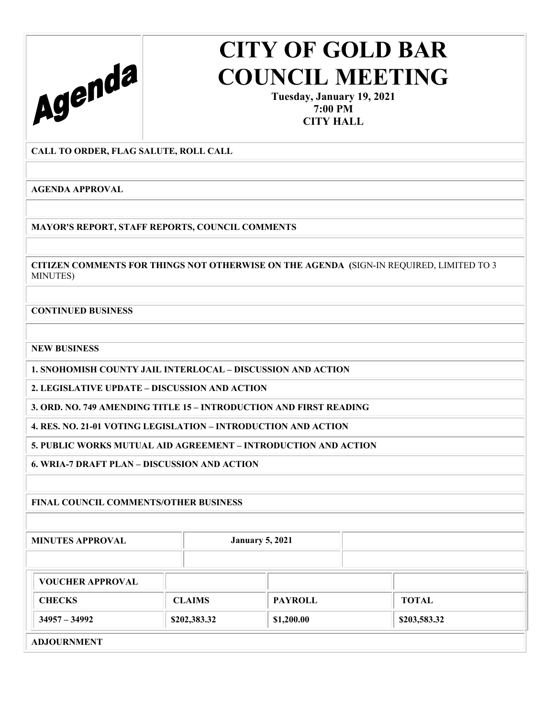

**Tuesday, January 19, 2021 7:00 PM CITY HALL** 

**CALL TO ORDER, FLAG SALUTE, ROLL CALL** 

**AGENDA APPROVAL** 

**MAYOR'S REPORT, STAFF REPORTS, COUNCIL COMMENTS** 

**CITIZEN COMMENTS FOR THINGS NOT OTHERWISE ON THE AGENDA (**SIGN-IN REQUIRED, LIMITED TO 3 MINUTES)

**CONTINUED BUSINESS** 

**NEW BUSINESS** 

**1. SNOHOMISH COUNTY JAIL INTERLOCAL – DISCUSSION AND ACTION** 

**2. LEGISLATIVE UPDATE – DISCUSSION AND ACTION** 

**3. ORD. NO. 749 AMENDING TITLE 15 – INTRODUCTION AND FIRST READING** 

**4. RES. NO. 21-01 VOTING LEGISLATION – INTRODUCTION AND ACTION** 

**5. PUBLIC WORKS MUTUAL AID AGREEMENT – INTRODUCTION AND ACTION** 

**6. WRIA-7 DRAFT PLAN – DISCUSSION AND ACTION** 

**FINAL COUNCIL COMMENTS/OTHER BUSINESS** 

**MINUTES APPROVAL January 5, 2021** 

| <b>VOUCHER APPROVAL</b> |               |                |              |
|-------------------------|---------------|----------------|--------------|
| <b>CHECKS</b>           | <b>CLAIMS</b> | <b>PAYROLL</b> | <b>TOTAL</b> |
| $34957 - 34992$         | \$202,383.32  | \$1,200.00     | \$203,583.32 |
| <b>ADJOURNMENT</b>      |               |                |              |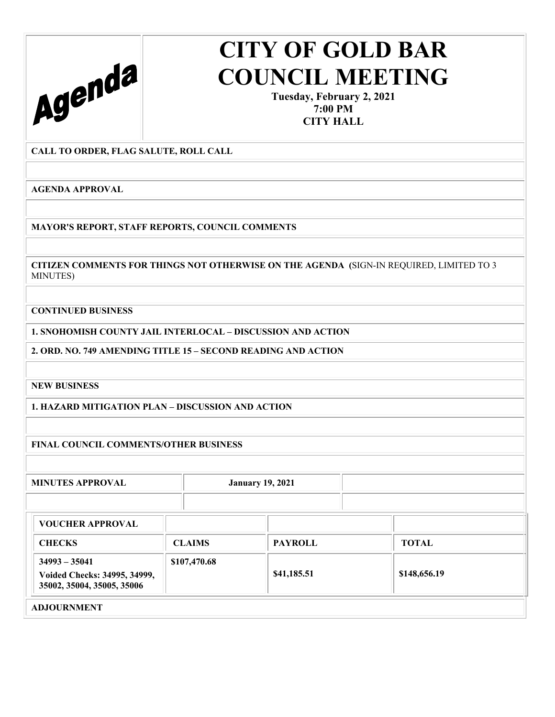

**Tuesday, February 2, 2021 7:00 PM CITY HALL** 

**CALL TO ORDER, FLAG SALUTE, ROLL CALL** 

**AGENDA APPROVAL** 

**MAYOR'S REPORT, STAFF REPORTS, COUNCIL COMMENTS** 

**CITIZEN COMMENTS FOR THINGS NOT OTHERWISE ON THE AGENDA (**SIGN-IN REQUIRED, LIMITED TO 3 MINUTES)

**CONTINUED BUSINESS** 

**1. SNOHOMISH COUNTY JAIL INTERLOCAL – DISCUSSION AND ACTION** 

**2. ORD. NO. 749 AMENDING TITLE 15 – SECOND READING AND ACTION** 

**NEW BUSINESS** 

**1. HAZARD MITIGATION PLAN – DISCUSSION AND ACTION** 

**FINAL COUNCIL COMMENTS/OTHER BUSINESS** 

**MINUTES APPROVAL January 19, 2021** 

| <b>VOUCHER APPROVAL</b>                                                       |               |                |              |
|-------------------------------------------------------------------------------|---------------|----------------|--------------|
| <b>CHECKS</b>                                                                 | <b>CLAIMS</b> | <b>PAYROLL</b> | <b>TOTAL</b> |
| $34993 - 35041$<br>Voided Checks: 34995, 34999,<br>35002, 35004, 35005, 35006 | \$107,470.68  | \$41,185.51    | \$148,656.19 |
| <b>ADJOURNMENT</b>                                                            |               |                |              |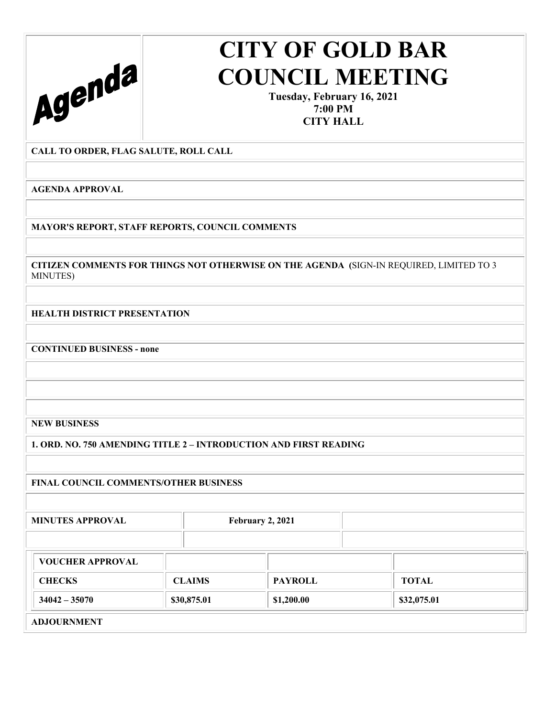

**Tuesday, February 16, 2021 7:00 PM CITY HALL** 

**CALL TO ORDER, FLAG SALUTE, ROLL CALL** 

**AGENDA APPROVAL** 

**MAYOR'S REPORT, STAFF REPORTS, COUNCIL COMMENTS** 

**CITIZEN COMMENTS FOR THINGS NOT OTHERWISE ON THE AGENDA (**SIGN-IN REQUIRED, LIMITED TO 3 MINUTES)

**HEALTH DISTRICT PRESENTATION** 

**CONTINUED BUSINESS - none** 

**NEW BUSINESS** 

**1. ORD. NO. 750 AMENDING TITLE 2 – INTRODUCTION AND FIRST READING** 

**FINAL COUNCIL COMMENTS/OTHER BUSINESS** 

**MINUTES APPROVAL February 2, 2021** 

| <b>VOUCHER APPROVAL</b>  |               |                |             |
|--------------------------|---------------|----------------|-------------|
| <b>CHECKS</b>            | <b>CLAIMS</b> | <b>PAYROLL</b> | TOTAL       |
| $34042 - 35070$          | \$30,875.01   | \$1,200.00     | \$32,075.01 |
| $\lambda$ D LOUDLE HULLE |               |                |             |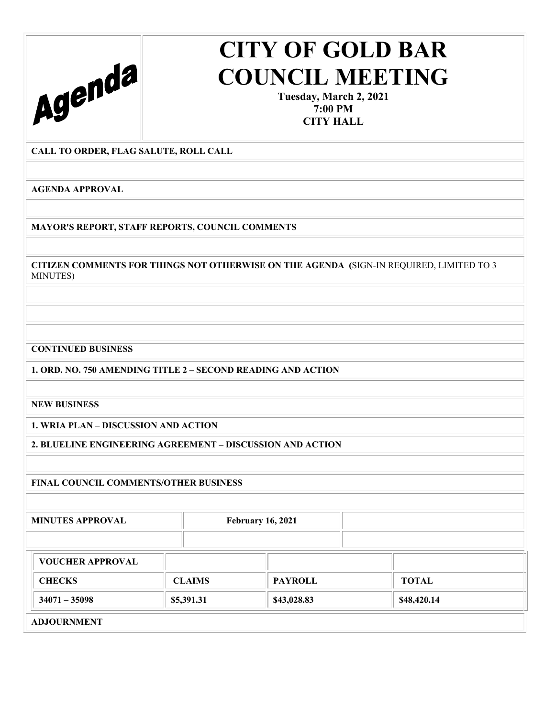

**Tuesday, March 2, 2021 7:00 PM CITY HALL** 

### **CALL TO ORDER, FLAG SALUTE, ROLL CALL**

**AGENDA APPROVAL** 

**MAYOR'S REPORT, STAFF REPORTS, COUNCIL COMMENTS** 

**CITIZEN COMMENTS FOR THINGS NOT OTHERWISE ON THE AGENDA (**SIGN-IN REQUIRED, LIMITED TO 3 MINUTES)

### **CONTINUED BUSINESS**

**1. ORD. NO. 750 AMENDING TITLE 2 – SECOND READING AND ACTION** 

**NEW BUSINESS** 

**1. WRIA PLAN – DISCUSSION AND ACTION** 

**2. BLUELINE ENGINEERING AGREEMENT – DISCUSSION AND ACTION** 

### **FINAL COUNCIL COMMENTS/OTHER BUSINESS**

**MINUTES APPROVAL February 16, 2021** 

| <b>CHECKS</b><br><b>PAYROLL</b><br><b>CLAIMS</b><br><b>TOTAL</b><br>$34071 - 35098$<br>\$48,420.14<br>\$43,028.83<br>\$5,391.31 | <b>VOUCHER APPROVAL</b> |  |  |
|---------------------------------------------------------------------------------------------------------------------------------|-------------------------|--|--|
|                                                                                                                                 |                         |  |  |
|                                                                                                                                 |                         |  |  |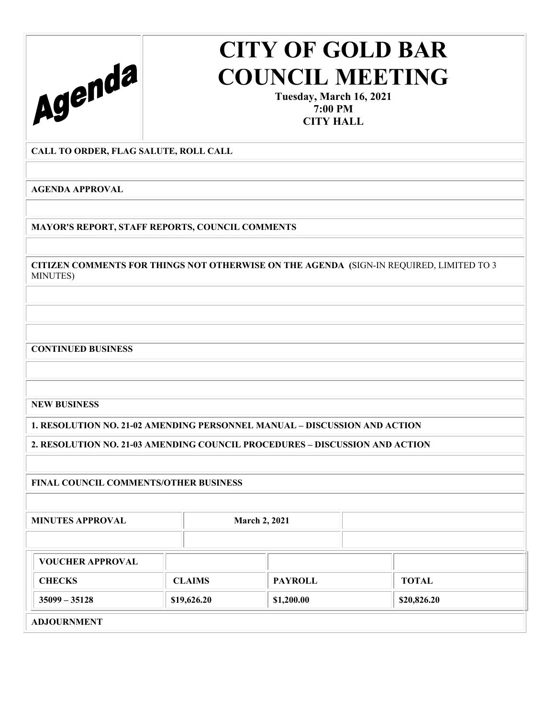

**Tuesday, March 16, 2021 7:00 PM CITY HALL** 

### **CALL TO ORDER, FLAG SALUTE, ROLL CALL**

**AGENDA APPROVAL** 

**MAYOR'S REPORT, STAFF REPORTS, COUNCIL COMMENTS** 

**CITIZEN COMMENTS FOR THINGS NOT OTHERWISE ON THE AGENDA (**SIGN-IN REQUIRED, LIMITED TO 3 MINUTES)

**CONTINUED BUSINESS** 

**NEW BUSINESS** 

**1. RESOLUTION NO. 21-02 AMENDING PERSONNEL MANUAL – DISCUSSION AND ACTION** 

**2. RESOLUTION NO. 21-03 AMENDING COUNCIL PROCEDURES – DISCUSSION AND ACTION** 

### **FINAL COUNCIL COMMENTS/OTHER BUSINESS**

**MINUTES APPROVAL March 2, 2021** 

| <b>VOUCHER APPROVAL</b> |               |                |             |
|-------------------------|---------------|----------------|-------------|
| <b>CHECKS</b>           | <b>CLAIMS</b> | <b>PAYROLL</b> | TOTAL       |
| $35099 - 35128$         | \$19,626.20   | \$1,200.00     | \$20,826.20 |
|                         |               |                |             |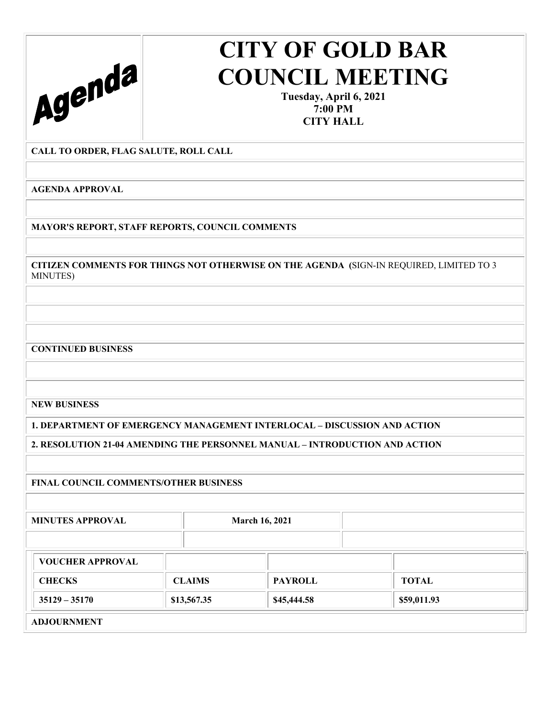

**Tuesday, April 6, 2021 7:00 PM CITY HALL** 

### **CALL TO ORDER, FLAG SALUTE, ROLL CALL**

**AGENDA APPROVAL** 

**MAYOR'S REPORT, STAFF REPORTS, COUNCIL COMMENTS** 

**CITIZEN COMMENTS FOR THINGS NOT OTHERWISE ON THE AGENDA (**SIGN-IN REQUIRED, LIMITED TO 3 MINUTES)

**CONTINUED BUSINESS** 

**NEW BUSINESS** 

**1. DEPARTMENT OF EMERGENCY MANAGEMENT INTERLOCAL – DISCUSSION AND ACTION** 

**2. RESOLUTION 21-04 AMENDING THE PERSONNEL MANUAL – INTRODUCTION AND ACTION** 

### **FINAL COUNCIL COMMENTS/OTHER BUSINESS**

**MINUTES APPROVAL March 16, 2021** 

| <b>VOUCHER APPROVAL</b> |               |                |              |  |
|-------------------------|---------------|----------------|--------------|--|
| <b>CHECKS</b>           | <b>CLAIMS</b> | <b>PAYROLL</b> | <b>TOTAL</b> |  |
| $35129 - 35170$         | \$13,567.35   | \$45,444.58    | \$59,011.93  |  |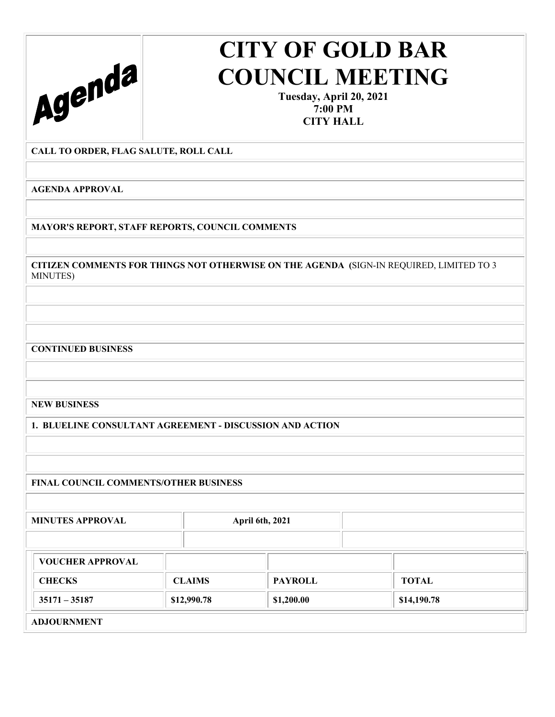

**Tuesday, April 20, 2021 7:00 PM CITY HALL** 

### **CALL TO ORDER, FLAG SALUTE, ROLL CALL**

**AGENDA APPROVAL** 

**MAYOR'S REPORT, STAFF REPORTS, COUNCIL COMMENTS** 

**CITIZEN COMMENTS FOR THINGS NOT OTHERWISE ON THE AGENDA (**SIGN-IN REQUIRED, LIMITED TO 3 MINUTES)

**CONTINUED BUSINESS** 

**NEW BUSINESS** 

**1. BLUELINE CONSULTANT AGREEMENT - DISCUSSION AND ACTION** 

**FINAL COUNCIL COMMENTS/OTHER BUSINESS** 

**MINUTES APPROVAL April 6th, 2021 VOUCHER APPROVAL CHECKS CLAIMS PAYROLL TOTAL 35171 – 35187 \$12,990.78 \$1,200.00 \$14,190.78 \$14,190.78 ADJOURNMENT**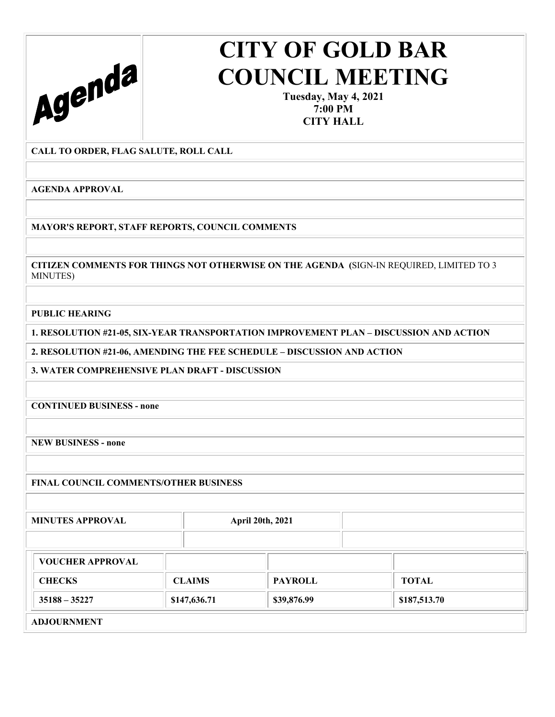

**Tuesday, May 4, 2021 7:00 PM CITY HALL** 

### **CALL TO ORDER, FLAG SALUTE, ROLL CALL**

**AGENDA APPROVAL** 

**MAYOR'S REPORT, STAFF REPORTS, COUNCIL COMMENTS** 

**CITIZEN COMMENTS FOR THINGS NOT OTHERWISE ON THE AGENDA (**SIGN-IN REQUIRED, LIMITED TO 3 MINUTES)

**PUBLIC HEARING** 

**1. RESOLUTION #21-05, SIX-YEAR TRANSPORTATION IMPROVEMENT PLAN – DISCUSSION AND ACTION** 

**2. RESOLUTION #21-06, AMENDING THE FEE SCHEDULE – DISCUSSION AND ACTION** 

**3. WATER COMPREHENSIVE PLAN DRAFT - DISCUSSION** 

**CONTINUED BUSINESS - none** 

**NEW BUSINESS - none** 

**FINAL COUNCIL COMMENTS/OTHER BUSINESS** 

**MINUTES APPROVAL April 20th, 2021** 

| <b>VOUCHER APPROVAL</b> |               |                |              |
|-------------------------|---------------|----------------|--------------|
| <b>CHECKS</b>           | <b>CLAIMS</b> | <b>PAYROLL</b> | <b>TOTAL</b> |
| $35188 - 35227$         | \$147,636.71  | \$39,876.99    | \$187,513.70 |
| <b>INTOTIBALLEME</b>    |               |                |              |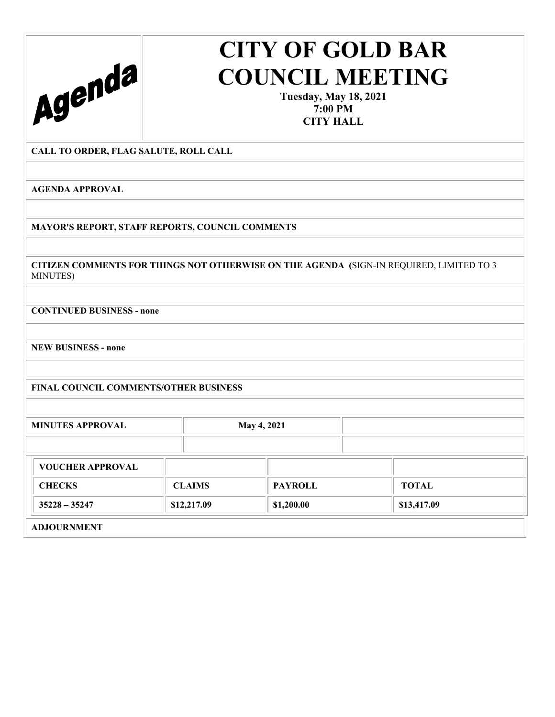

**Tuesday, May 18, 2021 7:00 PM CITY HALL** 

#### **CALL TO ORDER, FLAG SALUTE, ROLL CALL**

**AGENDA APPROVAL** 

**MAYOR'S REPORT, STAFF REPORTS, COUNCIL COMMENTS** 

**CITIZEN COMMENTS FOR THINGS NOT OTHERWISE ON THE AGENDA (**SIGN-IN REQUIRED, LIMITED TO 3 MINUTES)

**CONTINUED BUSINESS - none** 

**NEW BUSINESS - none** 

**FINAL COUNCIL COMMENTS/OTHER BUSINESS** 

| <b>MINUTES APPROVAL</b> |               | <b>May 4, 2021</b> |              |
|-------------------------|---------------|--------------------|--------------|
| <b>VOUCHER APPROVAL</b> |               |                    |              |
| <b>CHECKS</b>           | <b>CLAIMS</b> | <b>PAYROLL</b>     | <b>TOTAL</b> |
| $35228 - 35247$         | \$12,217.09   | \$1,200.00         | \$13,417.09  |
| <b>ADJOURNMENT</b>      |               |                    |              |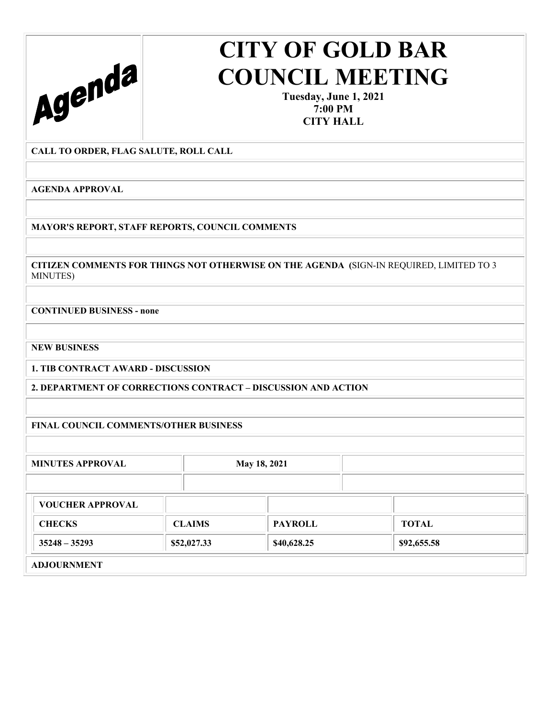

**Tuesday, June 1, 2021 7:00 PM CITY HALL** 

#### **CALL TO ORDER, FLAG SALUTE, ROLL CALL**

**AGENDA APPROVAL** 

**MAYOR'S REPORT, STAFF REPORTS, COUNCIL COMMENTS** 

**CITIZEN COMMENTS FOR THINGS NOT OTHERWISE ON THE AGENDA (**SIGN-IN REQUIRED, LIMITED TO 3 MINUTES)

**CONTINUED BUSINESS - none** 

**NEW BUSINESS** 

**1. TIB CONTRACT AWARD - DISCUSSION** 

**2. DEPARTMENT OF CORRECTIONS CONTRACT – DISCUSSION AND ACTION** 

**FINAL COUNCIL COMMENTS/OTHER BUSINESS** 

**MINUTES APPROVAL May 18, 2021 VOUCHER APPROVAL CHECKS** CLAIMS **PAYROLL TOTAL 35248** – 35293 **\$40,628.25** \$40,628.25 \$92,655.58 **ADJOURNMENT**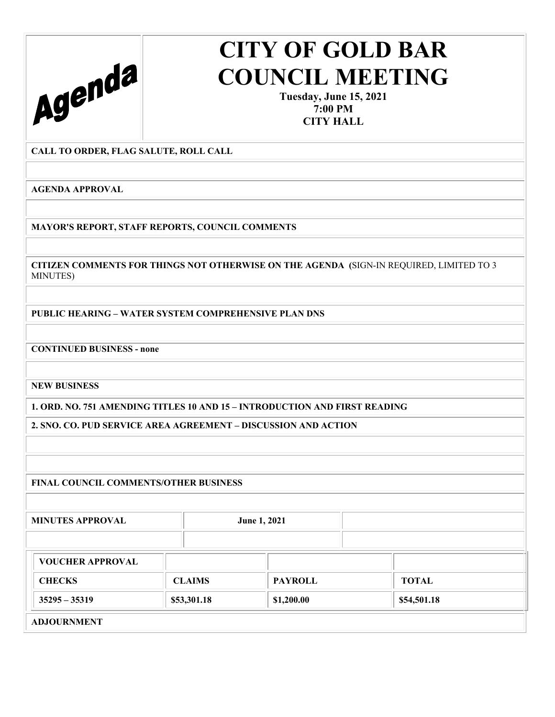

**Tuesday, June 15, 2021 7:00 PM CITY HALL** 

**CALL TO ORDER, FLAG SALUTE, ROLL CALL** 

**AGENDA APPROVAL** 

**MAYOR'S REPORT, STAFF REPORTS, COUNCIL COMMENTS** 

**CITIZEN COMMENTS FOR THINGS NOT OTHERWISE ON THE AGENDA (**SIGN-IN REQUIRED, LIMITED TO 3 MINUTES)

**PUBLIC HEARING – WATER SYSTEM COMPREHENSIVE PLAN DNS** 

**CONTINUED BUSINESS - none** 

**NEW BUSINESS** 

**1. ORD. NO. 751 AMENDING TITLES 10 AND 15 – INTRODUCTION AND FIRST READING** 

**2. SNO. CO. PUD SERVICE AREA AGREEMENT – DISCUSSION AND ACTION** 

**FINAL COUNCIL COMMENTS/OTHER BUSINESS** 

MINUTES APPROVAL June 1, 2021 **VOUCHER APPROVAL CHECKS CLAIMS PAYROLL TOTAL 35295** – 35319 **1.200.00 1.200.00 1.3534501.18 1.3654.501.18**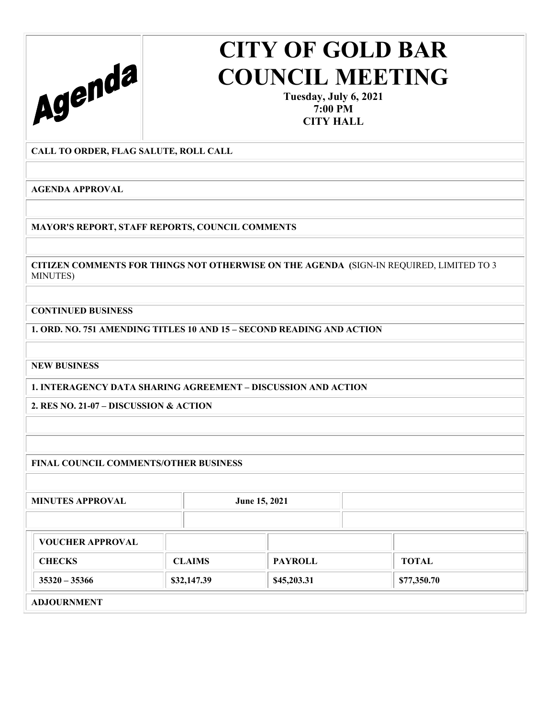

**Tuesday, July 6, 2021 7:00 PM CITY HALL** 

### **CALL TO ORDER, FLAG SALUTE, ROLL CALL**

**AGENDA APPROVAL** 

**MAYOR'S REPORT, STAFF REPORTS, COUNCIL COMMENTS** 

**CITIZEN COMMENTS FOR THINGS NOT OTHERWISE ON THE AGENDA (**SIGN-IN REQUIRED, LIMITED TO 3 MINUTES)

**CONTINUED BUSINESS** 

**1. ORD. NO. 751 AMENDING TITLES 10 AND 15 – SECOND READING AND ACTION** 

**NEW BUSINESS** 

**1. INTERAGENCY DATA SHARING AGREEMENT – DISCUSSION AND ACTION** 

**2. RES NO. 21-07 – DISCUSSION & ACTION** 

**FINAL COUNCIL COMMENTS/OTHER BUSINESS** 

**MINUTES APPROVAL** June 15, 2021

| <b>VOUCHER APPROVAL</b>                                                                                                                                                                                                                                                                                                            |               |                |              |
|------------------------------------------------------------------------------------------------------------------------------------------------------------------------------------------------------------------------------------------------------------------------------------------------------------------------------------|---------------|----------------|--------------|
| <b>CHECKS</b>                                                                                                                                                                                                                                                                                                                      | <b>CLAIMS</b> | <b>PAYROLL</b> | <b>TOTAL</b> |
| $35320 - 35366$                                                                                                                                                                                                                                                                                                                    | \$32,147.39   | \$45,203.31    | \$77,350.70  |
| $\mathbf{r}$ $\mathbf{r}$ $\mathbf{r}$ $\mathbf{r}$ $\mathbf{r}$ $\mathbf{r}$ $\mathbf{r}$ $\mathbf{r}$ $\mathbf{r}$ $\mathbf{r}$ $\mathbf{r}$ $\mathbf{r}$ $\mathbf{r}$ $\mathbf{r}$ $\mathbf{r}$ $\mathbf{r}$ $\mathbf{r}$ $\mathbf{r}$ $\mathbf{r}$ $\mathbf{r}$ $\mathbf{r}$ $\mathbf{r}$ $\mathbf{r}$ $\mathbf{r}$ $\mathbf{$ |               |                |              |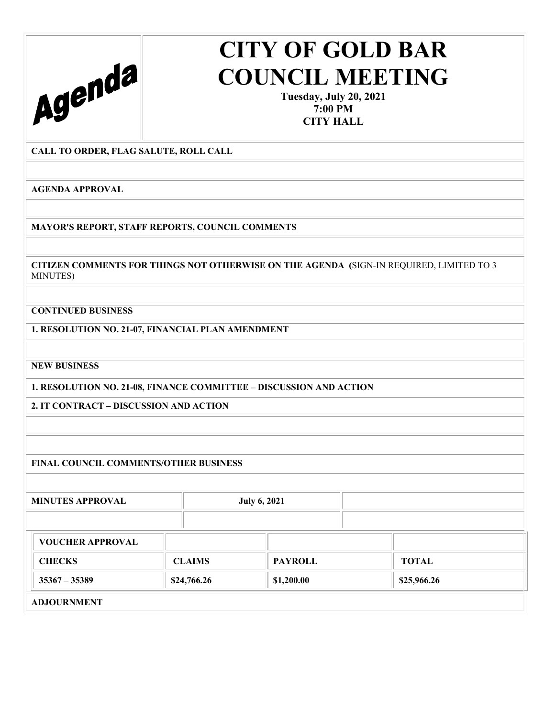

**Tuesday, July 20, 2021 7:00 PM CITY HALL** 

**CALL TO ORDER, FLAG SALUTE, ROLL CALL** 

**AGENDA APPROVAL** 

**MAYOR'S REPORT, STAFF REPORTS, COUNCIL COMMENTS** 

**CITIZEN COMMENTS FOR THINGS NOT OTHERWISE ON THE AGENDA (**SIGN-IN REQUIRED, LIMITED TO 3 MINUTES)

**CONTINUED BUSINESS** 

**1. RESOLUTION NO. 21-07, FINANCIAL PLAN AMENDMENT** 

**NEW BUSINESS** 

**1. RESOLUTION NO. 21-08, FINANCE COMMITTEE – DISCUSSION AND ACTION** 

**2. IT CONTRACT – DISCUSSION AND ACTION** 

**FINAL COUNCIL COMMENTS/OTHER BUSINESS** 

MINUTES APPROVAL July 6, 2021

| <b>CHECKS</b>   | <b>CLAIMS</b> | <b>PAYROLL</b> | <b>TOTAL</b> |
|-----------------|---------------|----------------|--------------|
| $35367 - 35389$ | \$24,766.26   | \$1,200.00     | \$25,966.26  |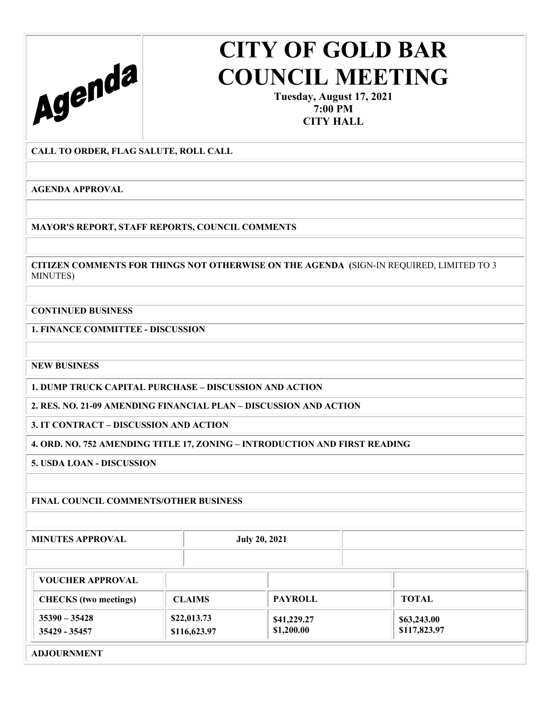

**Tuesday, August 17, 2021 7:00 PM CITY HALL** 

**CALL TO ORDER, FLAG SALUTE, ROLL CALL** 

**AGENDA APPROVAL** 

**MAYOR'S REPORT, STAFF REPORTS, COUNCIL COMMENTS** 

**CITIZEN COMMENTS FOR THINGS NOT OTHERWISE ON THE AGENDA (**SIGN-IN REQUIRED, LIMITED TO 3 MINUTES)

**CONTINUED BUSINESS** 

**1. FINANCE COMMITTEE - DISCUSSION** 

**NEW BUSINESS** 

**1. DUMP TRUCK CAPITAL PURCHASE – DISCUSSION AND ACTION** 

**2. RES. NO. 21-09 AMENDING FINANCIAL PLAN – DISCUSSION AND ACTION** 

**3. IT CONTRACT – DISCUSSION AND ACTION** 

**4. ORD. NO. 752 AMENDING TITLE 17, ZONING – INTRODUCTION AND FIRST READING** 

**5. USDA LOAN - DISCUSSION** 

### **FINAL COUNCIL COMMENTS/OTHER BUSINESS**

MINUTES APPROVAL July 20, 2021

| <b>VOUCHER APPROVAL</b>          |                             |                           |                             |  |
|----------------------------------|-----------------------------|---------------------------|-----------------------------|--|
| <b>CHECKS</b> (two meetings)     | <b>CLAIMS</b>               | <b>PAYROLL</b>            | <b>TOTAL</b>                |  |
| $35390 - 35428$<br>35429 - 35457 | \$22,013.73<br>\$116,623.97 | \$41,229.27<br>\$1,200.00 | \$63,243.00<br>\$117,823.97 |  |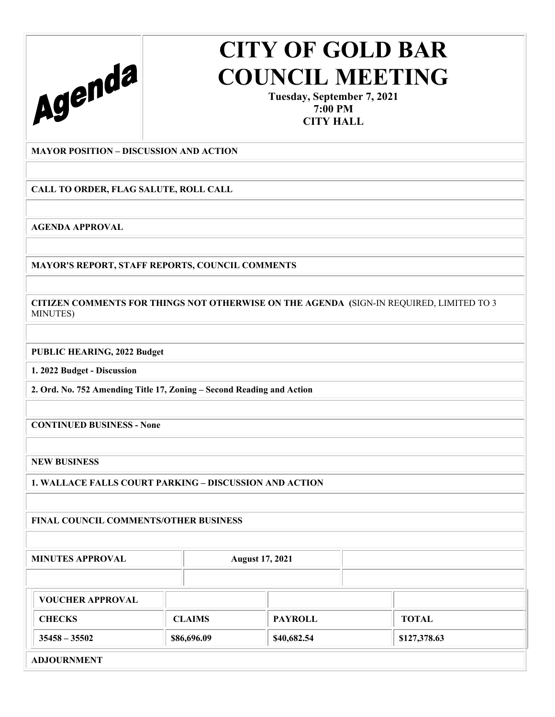

**Tuesday, September 7, 2021 7:00 PM CITY HALL** 

**MAYOR POSITION – DISCUSSION AND ACTION** 

**CALL TO ORDER, FLAG SALUTE, ROLL CALL** 

**AGENDA APPROVAL** 

**MAYOR'S REPORT, STAFF REPORTS, COUNCIL COMMENTS** 

**CITIZEN COMMENTS FOR THINGS NOT OTHERWISE ON THE AGENDA (**SIGN-IN REQUIRED, LIMITED TO 3 MINUTES)

**PUBLIC HEARING, 2022 Budget** 

**1. 2022 Budget - Discussion** 

**2. Ord. No. 752 Amending Title 17, Zoning – Second Reading and Action** 

**CONTINUED BUSINESS - None** 

**NEW BUSINESS** 

**1. WALLACE FALLS COURT PARKING – DISCUSSION AND ACTION** 

**FINAL COUNCIL COMMENTS/OTHER BUSINESS** 

**MINUTES APPROVAL August 17, 2021 VOUCHER APPROVAL CHECKS CLAIMS PAYROLL TOTAL 35458** – 35502 **\$86,696.09 \$86,696.09 \$40,682.54 \$127,378.63 ADJOURNMENT**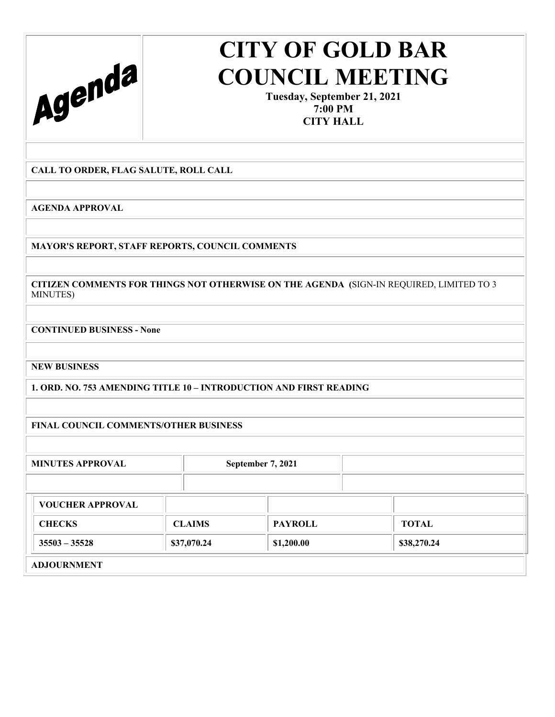

**Tuesday, September 21, 2021 7:00 PM CITY HALL** 

**CALL TO ORDER, FLAG SALUTE, ROLL CALL** 

**AGENDA APPROVAL** 

**MAYOR'S REPORT, STAFF REPORTS, COUNCIL COMMENTS** 

**CITIZEN COMMENTS FOR THINGS NOT OTHERWISE ON THE AGENDA (**SIGN-IN REQUIRED, LIMITED TO 3 MINUTES)

**CONTINUED BUSINESS - None** 

**NEW BUSINESS** 

**1. ORD. NO. 753 AMENDING TITLE 10 – INTRODUCTION AND FIRST READING** 

**FINAL COUNCIL COMMENTS/OTHER BUSINESS** 

| <b>MINUTES APPROVAL</b> |               | September 7, 2021 |              |
|-------------------------|---------------|-------------------|--------------|
| <b>VOUCHER APPROVAL</b> |               |                   |              |
| <b>CHECKS</b>           | <b>CLAIMS</b> | <b>PAYROLL</b>    | <b>TOTAL</b> |
| $35503 - 35528$         | \$37,070.24   | \$1,200.00        | \$38,270.24  |
| <b>ADJOURNMENT</b>      |               |                   |              |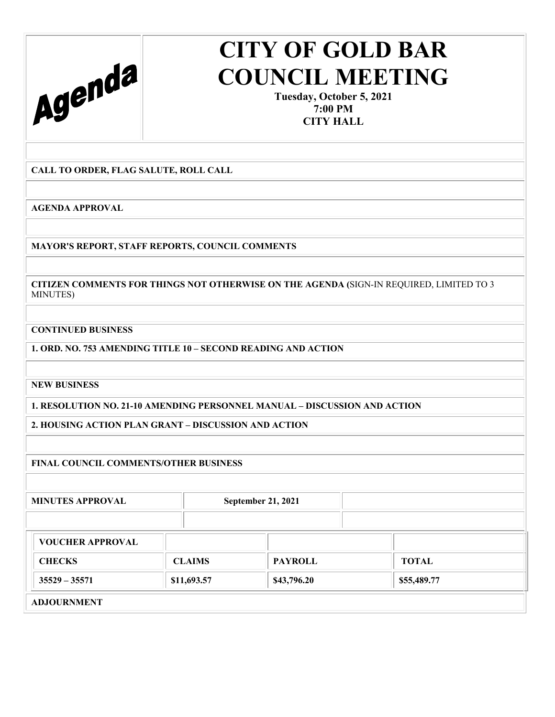

**Tuesday, October 5, 2021 7:00 PM CITY HALL** 

**CALL TO ORDER, FLAG SALUTE, ROLL CALL** 

**AGENDA APPROVAL** 

**MAYOR'S REPORT, STAFF REPORTS, COUNCIL COMMENTS** 

**CITIZEN COMMENTS FOR THINGS NOT OTHERWISE ON THE AGENDA (**SIGN-IN REQUIRED, LIMITED TO 3 MINUTES)

**CONTINUED BUSINESS** 

**1. ORD. NO. 753 AMENDING TITLE 10 – SECOND READING AND ACTION** 

**NEW BUSINESS** 

**1. RESOLUTION NO. 21-10 AMENDING PERSONNEL MANUAL – DISCUSSION AND ACTION** 

**2. HOUSING ACTION PLAN GRANT – DISCUSSION AND ACTION** 

**FINAL COUNCIL COMMENTS/OTHER BUSINESS** 

MINUTES APPROVAL September 21, 2021

| <b>VOUCHER APPROVAL</b> |               |                |              |  |
|-------------------------|---------------|----------------|--------------|--|
| <b>CHECKS</b>           | <b>CLAIMS</b> | <b>PAYROLL</b> | <b>TOTAL</b> |  |
| $35529 - 35571$         | \$11,693.57   | \$43,796.20    | \$55,489.77  |  |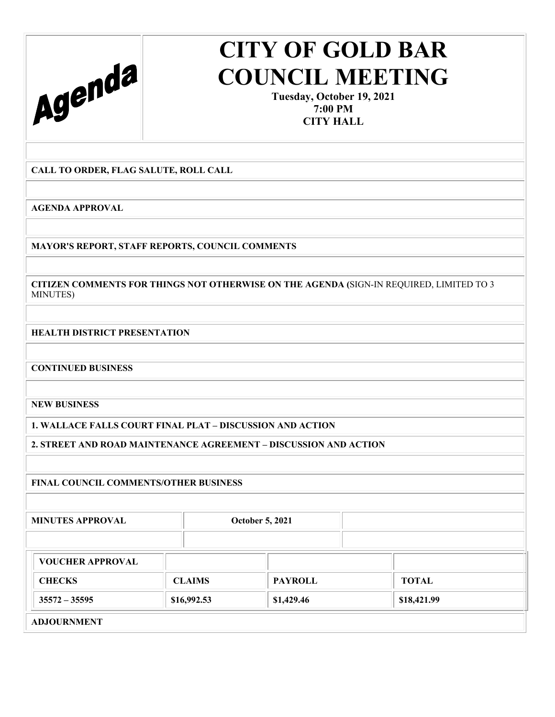

**Tuesday, October 19, 2021 7:00 PM CITY HALL** 

**CALL TO ORDER, FLAG SALUTE, ROLL CALL** 

**AGENDA APPROVAL** 

**MAYOR'S REPORT, STAFF REPORTS, COUNCIL COMMENTS** 

**CITIZEN COMMENTS FOR THINGS NOT OTHERWISE ON THE AGENDA (**SIGN-IN REQUIRED, LIMITED TO 3 MINUTES)

**HEALTH DISTRICT PRESENTATION** 

**CONTINUED BUSINESS** 

**NEW BUSINESS** 

**1. WALLACE FALLS COURT FINAL PLAT – DISCUSSION AND ACTION** 

**2. STREET AND ROAD MAINTENANCE AGREEMENT – DISCUSSION AND ACTION** 

### **FINAL COUNCIL COMMENTS/OTHER BUSINESS**

**MINUTES APPROVAL CORPORAL CONSUMING CONSUMING A CONSUMING A CONSUMING A CONSUMING A CONSUMING A CONSUMING A CONSUMING A CONSUMING A CONSUMING A CONSUMING A CONSUMING A CONSUMING A CONSUMING A CONSUMING A CONSUMING A CONSU** 

| <b>VOUCHER APPROVAL</b> |               |                |              |  |
|-------------------------|---------------|----------------|--------------|--|
| <b>CHECKS</b>           | <b>CLAIMS</b> | <b>PAYROLL</b> | <b>TOTAL</b> |  |
| $35572 - 35595$         | \$16,992.53   | \$1,429.46     | \$18,421.99  |  |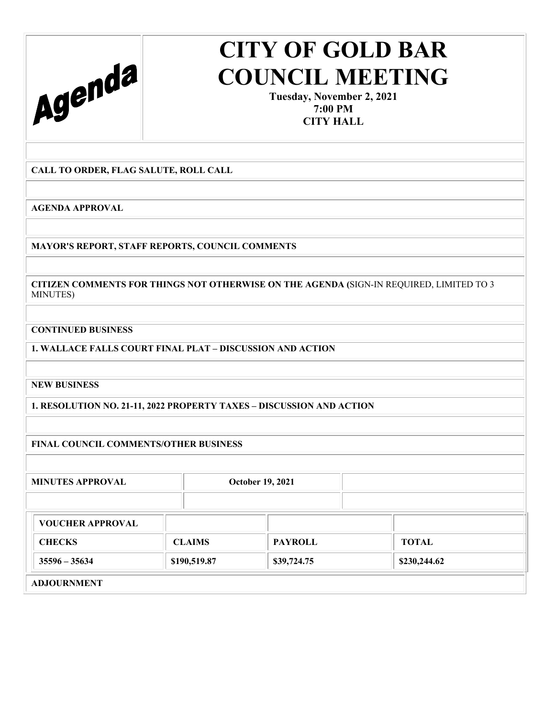

**Tuesday, November 2, 2021 7:00 PM CITY HALL** 

**CALL TO ORDER, FLAG SALUTE, ROLL CALL** 

**AGENDA APPROVAL** 

**MAYOR'S REPORT, STAFF REPORTS, COUNCIL COMMENTS** 

**CITIZEN COMMENTS FOR THINGS NOT OTHERWISE ON THE AGENDA (**SIGN-IN REQUIRED, LIMITED TO 3 MINUTES)

**CONTINUED BUSINESS** 

**1. WALLACE FALLS COURT FINAL PLAT – DISCUSSION AND ACTION** 

**NEW BUSINESS** 

**1. RESOLUTION NO. 21-11, 2022 PROPERTY TAXES – DISCUSSION AND ACTION** 

**FINAL COUNCIL COMMENTS/OTHER BUSINESS** 

| <b>MINUTES APPROVAL</b> | <b>October 19, 2021</b> |  |  |
|-------------------------|-------------------------|--|--|
|                         |                         |  |  |

| <b>VOUCHER APPROVAL</b> |               |                |              |  |
|-------------------------|---------------|----------------|--------------|--|
| <b>CHECKS</b>           | <b>CLAIMS</b> | <b>PAYROLL</b> | TOTAL        |  |
| $35596 - 35634$         | \$190,519.87  | \$39,724.75    | \$230,244.62 |  |
| <b>ADJOURNMENT</b>      |               |                |              |  |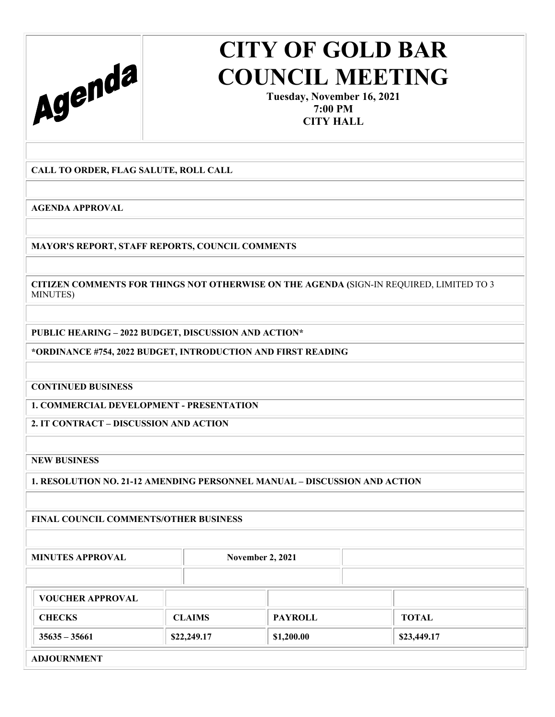

**Tuesday, November 16, 2021 7:00 PM CITY HALL** 

**CALL TO ORDER, FLAG SALUTE, ROLL CALL** 

**AGENDA APPROVAL** 

**MAYOR'S REPORT, STAFF REPORTS, COUNCIL COMMENTS** 

**CITIZEN COMMENTS FOR THINGS NOT OTHERWISE ON THE AGENDA (**SIGN-IN REQUIRED, LIMITED TO 3 MINUTES)

**PUBLIC HEARING – 2022 BUDGET, DISCUSSION AND ACTION\*** 

**\*ORDINANCE #754, 2022 BUDGET, INTRODUCTION AND FIRST READING** 

**CONTINUED BUSINESS** 

**1. COMMERCIAL DEVELOPMENT - PRESENTATION** 

**2. IT CONTRACT – DISCUSSION AND ACTION** 

**NEW BUSINESS** 

**1. RESOLUTION NO. 21-12 AMENDING PERSONNEL MANUAL – DISCUSSION AND ACTION** 

**FINAL COUNCIL COMMENTS/OTHER BUSINESS** 

**MINUTES APPROVAL November 2, 2021** 

| <b>VOUCHER APPROVAL</b> |               |                |              |  |
|-------------------------|---------------|----------------|--------------|--|
| <b>CHECKS</b>           | <b>CLAIMS</b> | <b>PAYROLL</b> | <b>TOTAL</b> |  |
| $35635 - 35661$         | \$22,249.17   | \$1,200.00     | \$23,449.17  |  |
| <b>ADJOURNMENT</b>      |               |                |              |  |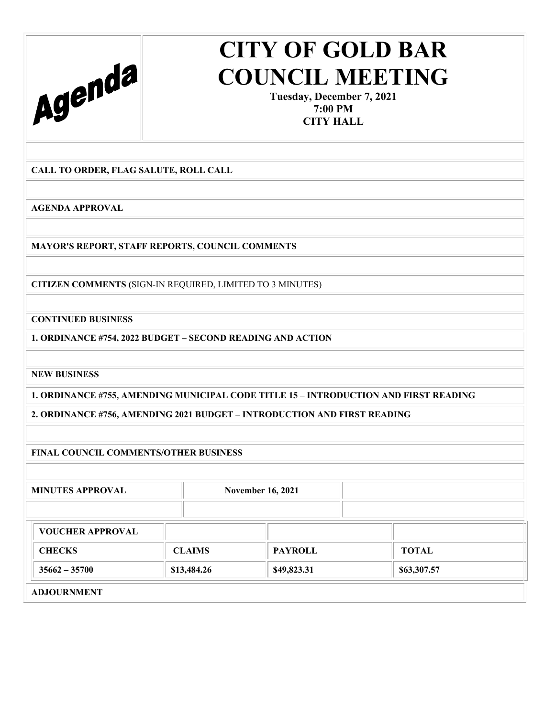

**Tuesday, December 7, 2021 7:00 PM CITY HALL** 

**CALL TO ORDER, FLAG SALUTE, ROLL CALL** 

**AGENDA APPROVAL** 

**MAYOR'S REPORT, STAFF REPORTS, COUNCIL COMMENTS** 

**CITIZEN COMMENTS (**SIGN-IN REQUIRED, LIMITED TO 3 MINUTES)

**CONTINUED BUSINESS** 

**1. ORDINANCE #754, 2022 BUDGET – SECOND READING AND ACTION** 

**NEW BUSINESS** 

**1. ORDINANCE #755, AMENDING MUNICIPAL CODE TITLE 15 – INTRODUCTION AND FIRST READING** 

**2. ORDINANCE #756, AMENDING 2021 BUDGET – INTRODUCTION AND FIRST READING** 

**FINAL COUNCIL COMMENTS/OTHER BUSINESS** 

MINUTES APPROVAL November 16, 2021

| <b>VOUCHER APPROVAL</b> |               |                |             |
|-------------------------|---------------|----------------|-------------|
| <b>CHECKS</b>           | <b>CLAIMS</b> | <b>PAYROLL</b> | TOTAL       |
| $35662 - 35700$         | \$13,484.26   | \$49,823.31    | \$63,307.57 |